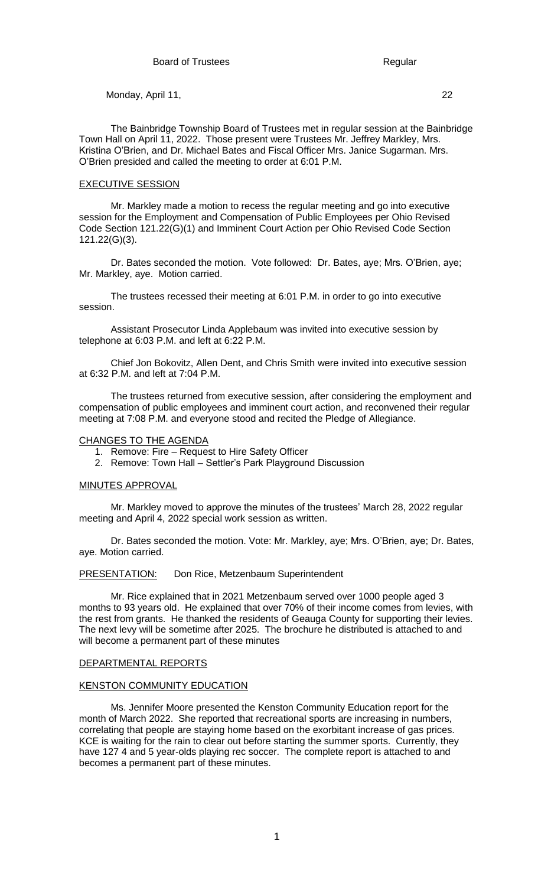The Bainbridge Township Board of Trustees met in regular session at the Bainbridge Town Hall on April 11, 2022. Those present were Trustees Mr. Jeffrey Markley, Mrs. Kristina O'Brien, and Dr. Michael Bates and Fiscal Officer Mrs. Janice Sugarman. Mrs. O'Brien presided and called the meeting to order at 6:01 P.M.

#### EXECUTIVE SESSION

Mr. Markley made a motion to recess the regular meeting and go into executive session for the Employment and Compensation of Public Employees per Ohio Revised Code Section 121.22(G)(1) and Imminent Court Action per Ohio Revised Code Section 121.22(G)(3).

Dr. Bates seconded the motion. Vote followed: Dr. Bates, aye; Mrs. O'Brien, aye; Mr. Markley, aye. Motion carried.

The trustees recessed their meeting at 6:01 P.M. in order to go into executive session.

Assistant Prosecutor Linda Applebaum was invited into executive session by telephone at 6:03 P.M. and left at 6:22 P.M.

Chief Jon Bokovitz, Allen Dent, and Chris Smith were invited into executive session at 6:32 P.M. and left at 7:04 P.M.

The trustees returned from executive session, after considering the employment and compensation of public employees and imminent court action, and reconvened their regular meeting at 7:08 P.M. and everyone stood and recited the Pledge of Allegiance.

#### CHANGES TO THE AGENDA

- 1. Remove: Fire Request to Hire Safety Officer
- 2. Remove: Town Hall Settler's Park Playground Discussion

### MINUTES APPROVAL

Mr. Markley moved to approve the minutes of the trustees' March 28, 2022 regular meeting and April 4, 2022 special work session as written.

Dr. Bates seconded the motion. Vote: Mr. Markley, aye; Mrs. O'Brien, aye; Dr. Bates, aye. Motion carried.

PRESENTATION: Don Rice, Metzenbaum Superintendent

Mr. Rice explained that in 2021 Metzenbaum served over 1000 people aged 3 months to 93 years old. He explained that over 70% of their income comes from levies, with the rest from grants. He thanked the residents of Geauga County for supporting their levies. The next levy will be sometime after 2025. The brochure he distributed is attached to and will become a permanent part of these minutes

#### DEPARTMENTAL REPORTS

#### KENSTON COMMUNITY EDUCATION

Ms. Jennifer Moore presented the Kenston Community Education report for the month of March 2022. She reported that recreational sports are increasing in numbers, correlating that people are staying home based on the exorbitant increase of gas prices. KCE is waiting for the rain to clear out before starting the summer sports. Currently, they have 127 4 and 5 year-olds playing rec soccer. The complete report is attached to and becomes a permanent part of these minutes.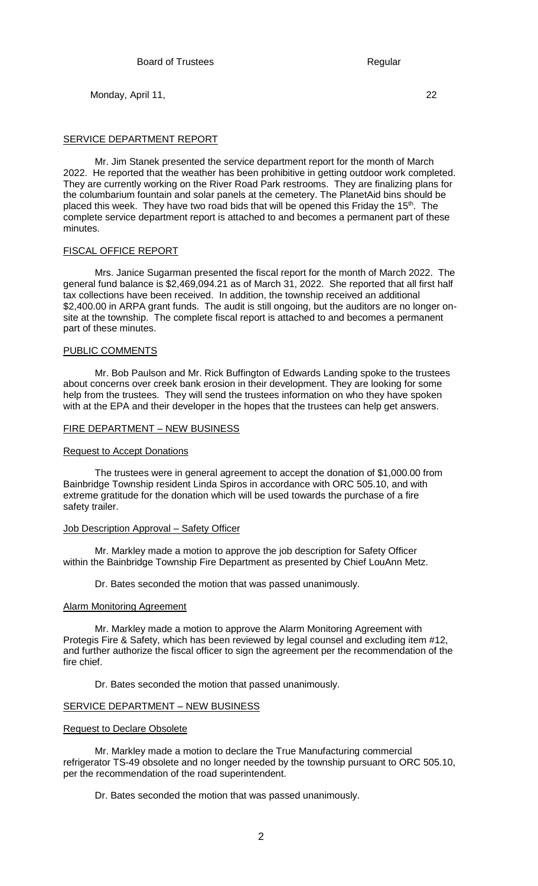## SERVICE DEPARTMENT REPORT

Mr. Jim Stanek presented the service department report for the month of March 2022. He reported that the weather has been prohibitive in getting outdoor work completed. They are currently working on the River Road Park restrooms. They are finalizing plans for the columbarium fountain and solar panels at the cemetery. The PlanetAid bins should be placed this week. They have two road bids that will be opened this Friday the 15<sup>th</sup>. The complete service department report is attached to and becomes a permanent part of these minutes.

### FISCAL OFFICE REPORT

Mrs. Janice Sugarman presented the fiscal report for the month of March 2022. The general fund balance is \$2,469,094.21 as of March 31, 2022. She reported that all first half tax collections have been received. In addition, the township received an additional \$2,400.00 in ARPA grant funds. The audit is still ongoing, but the auditors are no longer onsite at the township. The complete fiscal report is attached to and becomes a permanent part of these minutes.

### PUBLIC COMMENTS

Mr. Bob Paulson and Mr. Rick Buffington of Edwards Landing spoke to the trustees about concerns over creek bank erosion in their development. They are looking for some help from the trustees. They will send the trustees information on who they have spoken with at the EPA and their developer in the hopes that the trustees can help get answers.

### FIRE DEPARTMENT – NEW BUSINESS

### Request to Accept Donations

The trustees were in general agreement to accept the donation of \$1,000.00 from Bainbridge Township resident Linda Spiros in accordance with ORC 505.10, and with extreme gratitude for the donation which will be used towards the purchase of a fire safety trailer.

### Job Description Approval – Safety Officer

Mr. Markley made a motion to approve the job description for Safety Officer within the Bainbridge Township Fire Department as presented by Chief LouAnn Metz.

Dr. Bates seconded the motion that was passed unanimously.

## Alarm Monitoring Agreement

Mr. Markley made a motion to approve the Alarm Monitoring Agreement with Protegis Fire & Safety, which has been reviewed by legal counsel and excluding item #12, and further authorize the fiscal officer to sign the agreement per the recommendation of the fire chief.

Dr. Bates seconded the motion that passed unanimously.

## SERVICE DEPARTMENT – NEW BUSINESS

### Request to Declare Obsolete

Mr. Markley made a motion to declare the True Manufacturing commercial refrigerator TS-49 obsolete and no longer needed by the township pursuant to ORC 505.10, per the recommendation of the road superintendent.

Dr. Bates seconded the motion that was passed unanimously.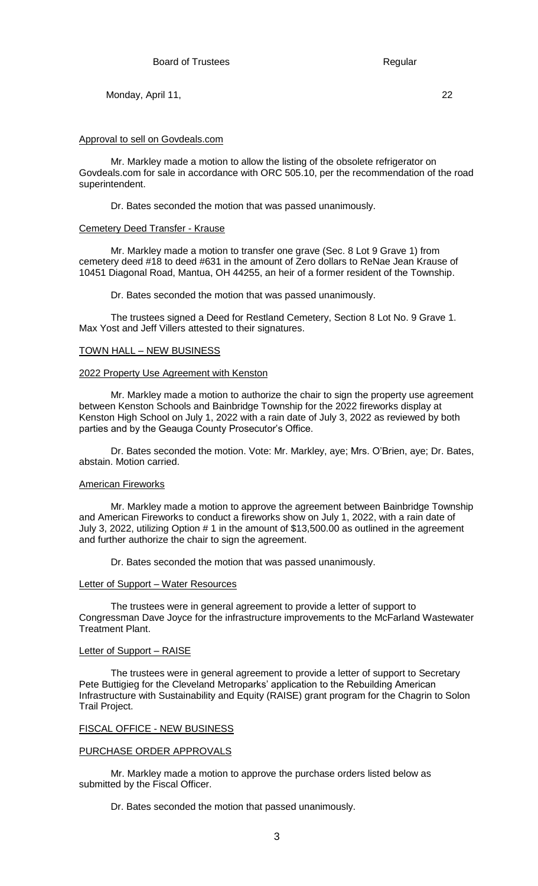### Approval to sell on Govdeals.com

Mr. Markley made a motion to allow the listing of the obsolete refrigerator on Govdeals.com for sale in accordance with ORC 505.10, per the recommendation of the road superintendent.

Dr. Bates seconded the motion that was passed unanimously.

#### Cemetery Deed Transfer - Krause

Mr. Markley made a motion to transfer one grave (Sec. 8 Lot 9 Grave 1) from cemetery deed #18 to deed #631 in the amount of Zero dollars to ReNae Jean Krause of 10451 Diagonal Road, Mantua, OH 44255, an heir of a former resident of the Township.

Dr. Bates seconded the motion that was passed unanimously.

The trustees signed a Deed for Restland Cemetery, Section 8 Lot No. 9 Grave 1. Max Yost and Jeff Villers attested to their signatures.

#### TOWN HALL – NEW BUSINESS

#### 2022 Property Use Agreement with Kenston

Mr. Markley made a motion to authorize the chair to sign the property use agreement between Kenston Schools and Bainbridge Township for the 2022 fireworks display at Kenston High School on July 1, 2022 with a rain date of July 3, 2022 as reviewed by both parties and by the Geauga County Prosecutor's Office.

Dr. Bates seconded the motion. Vote: Mr. Markley, aye; Mrs. O'Brien, aye; Dr. Bates, abstain. Motion carried.

### American Fireworks

Mr. Markley made a motion to approve the agreement between Bainbridge Township and American Fireworks to conduct a fireworks show on July 1, 2022, with a rain date of July 3, 2022, utilizing Option # 1 in the amount of \$13,500.00 as outlined in the agreement and further authorize the chair to sign the agreement.

Dr. Bates seconded the motion that was passed unanimously.

#### Letter of Support – Water Resources

The trustees were in general agreement to provide a letter of support to Congressman Dave Joyce for the infrastructure improvements to the McFarland Wastewater Treatment Plant.

#### Letter of Support – RAISE

The trustees were in general agreement to provide a letter of support to Secretary Pete Buttigieg for the Cleveland Metroparks' application to the Rebuilding American Infrastructure with Sustainability and Equity (RAISE) grant program for the Chagrin to Solon Trail Project.

#### FISCAL OFFICE - NEW BUSINESS

#### PURCHASE ORDER APPROVALS

Mr. Markley made a motion to approve the purchase orders listed below as submitted by the Fiscal Officer.

Dr. Bates seconded the motion that passed unanimously.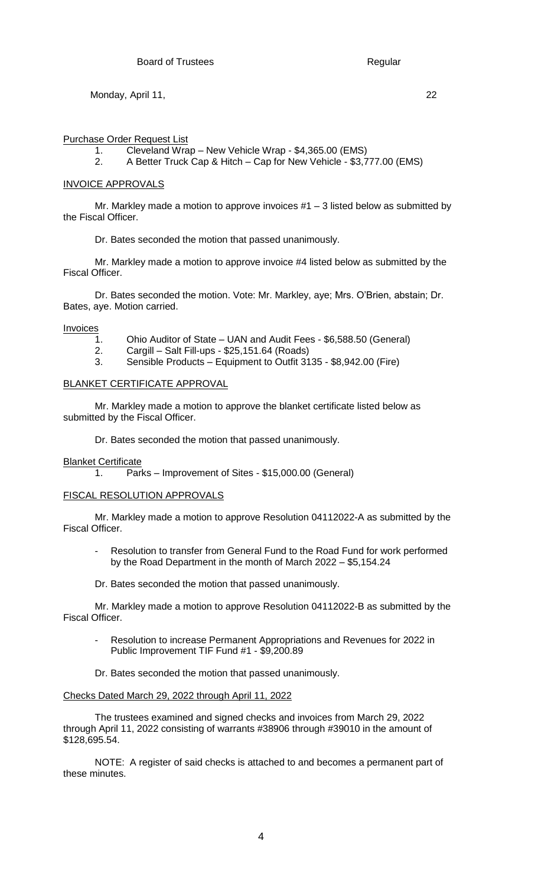## Purchase Order Request List

- 1. Cleveland Wrap New Vehicle Wrap \$4,365.00 (EMS)
- 2. A Better Truck Cap & Hitch Cap for New Vehicle \$3,777.00 (EMS)

## INVOICE APPROVALS

Mr. Markley made a motion to approve invoices  $#1 - 3$  listed below as submitted by the Fiscal Officer.

Dr. Bates seconded the motion that passed unanimously.

Mr. Markley made a motion to approve invoice #4 listed below as submitted by the Fiscal Officer.

Dr. Bates seconded the motion. Vote: Mr. Markley, aye; Mrs. O'Brien, abstain; Dr. Bates, aye. Motion carried.

Invoices

- 1. Ohio Auditor of State UAN and Audit Fees \$6,588.50 (General)
- 2. Cargill Salt Fill-ups \$25,151.64 (Roads)
- 3. Sensible Products Equipment to Outfit 3135 \$8,942.00 (Fire)

## BLANKET CERTIFICATE APPROVAL

Mr. Markley made a motion to approve the blanket certificate listed below as submitted by the Fiscal Officer.

Dr. Bates seconded the motion that passed unanimously.

Blanket Certificate

1. Parks – Improvement of Sites - \$15,000.00 (General)

## FISCAL RESOLUTION APPROVALS

Mr. Markley made a motion to approve Resolution 04112022-A as submitted by the Fiscal Officer.

- Resolution to transfer from General Fund to the Road Fund for work performed by the Road Department in the month of March 2022 – \$5,154.24
- Dr. Bates seconded the motion that passed unanimously.

Mr. Markley made a motion to approve Resolution 04112022-B as submitted by the Fiscal Officer.

Resolution to increase Permanent Appropriations and Revenues for 2022 in Public Improvement TIF Fund #1 - \$9,200.89

Dr. Bates seconded the motion that passed unanimously.

### Checks Dated March 29, 2022 through April 11, 2022

The trustees examined and signed checks and invoices from March 29, 2022 through April 11, 2022 consisting of warrants #38906 through #39010 in the amount of \$128,695.54.

NOTE: A register of said checks is attached to and becomes a permanent part of these minutes.